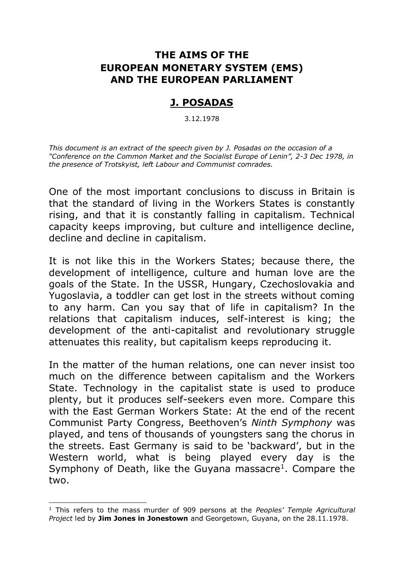## **THE AIMS OF THE EUROPEAN MONETARY SYSTEM (EMS) AND THE EUROPEAN PARLIAMENT**

## **J. POSADAS**

3.12.1978

*This document is an extract of the speech given by J. Posadas on the occasion of a "Conference on the Common Market and the Socialist Europe of Lenin", 2-3 Dec 1978, in the presence of Trotskyist, left Labour and Communist comrades.*

One of the most important conclusions to discuss in Britain is that the standard of living in the Workers States is constantly rising, and that it is constantly falling in capitalism. Technical capacity keeps improving, but culture and intelligence decline, decline and decline in capitalism.

It is not like this in the Workers States; because there, the development of intelligence, culture and human love are the goals of the State. In the USSR, Hungary, Czechoslovakia and Yugoslavia, a toddler can get lost in the streets without coming to any harm. Can you say that of life in capitalism? In the relations that capitalism induces, self-interest is king; the development of the anti-capitalist and revolutionary struggle attenuates this reality, but capitalism keeps reproducing it.

In the matter of the human relations, one can never insist too much on the difference between capitalism and the Workers State. Technology in the capitalist state is used to produce plenty, but it produces self-seekers even more. Compare this with the East German Workers State: At the end of the recent Communist Party Congress, Beethoven's *Ninth Symphony* was played, and tens of thousands of youngsters sang the chorus in the streets. East Germany is said to be 'backward', but in the Western world, what is being played every day is the Symphony of Death, like the Guyana massacre<sup>1</sup>. Compare the two.

-

<sup>1</sup> This refers to the mass murder of 909 persons at the *Peoples' Temple Agricultural Project* led by **Jim Jones in Jonestown** and Georgetown, Guyana, on the 28.11.1978.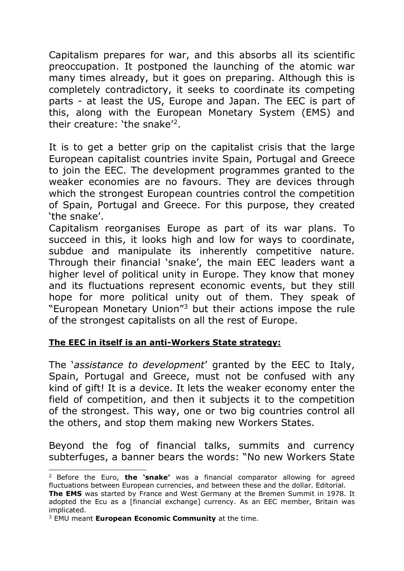Capitalism prepares for war, and this absorbs all its scientific preoccupation. It postponed the launching of the atomic war many times already, but it goes on preparing. Although this is completely contradictory, it seeks to coordinate its competing parts - at least the US, Europe and Japan. The EEC is part of this, along with the European Monetary System (EMS) and their creature: 'the snake'<sup>2</sup>.

It is to get a better grip on the capitalist crisis that the large European capitalist countries invite Spain, Portugal and Greece to join the EEC. The development programmes granted to the weaker economies are no favours. They are devices through which the strongest European countries control the competition of Spain, Portugal and Greece. For this purpose, they created 'the snake'.

Capitalism reorganises Europe as part of its war plans. To succeed in this, it looks high and low for ways to coordinate, subdue and manipulate its inherently competitive nature. Through their financial 'snake', the main EEC leaders want a higher level of political unity in Europe. They know that money and its fluctuations represent economic events, but they still hope for more political unity out of them. They speak of "European Monetary Union"<sup>3</sup> but their actions impose the rule of the strongest capitalists on all the rest of Europe.

### **The EEC in itself is an anti-Workers State strategy:**

The '*assistance to development*' granted by the EEC to Italy, Spain, Portugal and Greece, must not be confused with any kind of gift! It is a device. It lets the weaker economy enter the field of competition, and then it subjects it to the competition of the strongest. This way, one or two big countries control all the others, and stop them making new Workers States.

Beyond the fog of financial talks, summits and currency subterfuges, a banner bears the words: "No new Workers State

 $\overline{a}$ 

<sup>2</sup> Before the Euro, **the 'snake'** was a financial comparator allowing for agreed fluctuations between European currencies, and between these and the dollar. Editorial. **The EMS** was started by France and West Germany at the Bremen Summit in 1978. It adopted the Ecu as a [financial exchange] currency. As an EEC member, Britain was implicated.

<sup>3</sup> EMU meant **European Economic Community** at the time.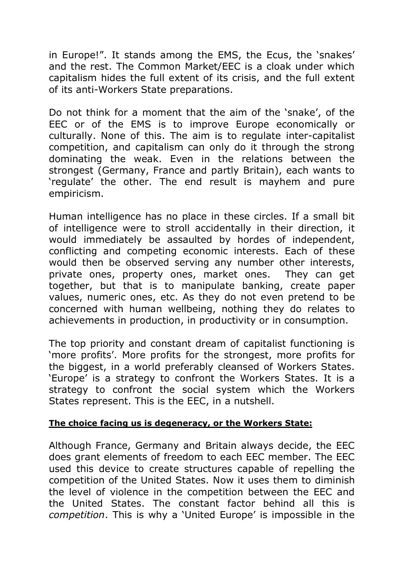in Europe!". It stands among the EMS, the Ecus, the 'snakes' and the rest. The Common Market/EEC is a cloak under which capitalism hides the full extent of its crisis, and the full extent of its anti-Workers State preparations.

Do not think for a moment that the aim of the 'snake', of the EEC or of the EMS is to improve Europe economically or culturally. None of this. The aim is to regulate inter-capitalist competition, and capitalism can only do it through the strong dominating the weak. Even in the relations between the strongest (Germany, France and partly Britain), each wants to 'regulate' the other. The end result is mayhem and pure empiricism.

Human intelligence has no place in these circles. If a small bit of intelligence were to stroll accidentally in their direction, it would immediately be assaulted by hordes of independent, conflicting and competing economic interests. Each of these would then be observed serving any number other interests, private ones, property ones, market ones. They can get together, but that is to manipulate banking, create paper values, numeric ones, etc. As they do not even pretend to be concerned with human wellbeing, nothing they do relates to achievements in production, in productivity or in consumption.

The top priority and constant dream of capitalist functioning is 'more profits'. More profits for the strongest, more profits for the biggest, in a world preferably cleansed of Workers States. 'Europe' is a strategy to confront the Workers States. It is a strategy to confront the social system which the Workers States represent. This is the EEC, in a nutshell.

#### **The choice facing us is degeneracy, or the Workers State:**

Although France, Germany and Britain always decide, the EEC does grant elements of freedom to each EEC member. The EEC used this device to create structures capable of repelling the competition of the United States. Now it uses them to diminish the level of violence in the competition between the EEC and the United States. The constant factor behind all this is *competition*. This is why a 'United Europe' is impossible in the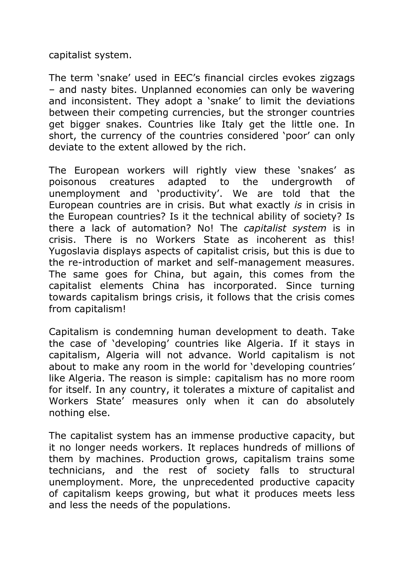capitalist system.

The term 'snake' used in EEC's financial circles evokes zigzags – and nasty bites. Unplanned economies can only be wavering and inconsistent. They adopt a 'snake' to limit the deviations between their competing currencies, but the stronger countries get bigger snakes. Countries like Italy get the little one. In short, the currency of the countries considered 'poor' can only deviate to the extent allowed by the rich.

The European workers will rightly view these 'snakes' as poisonous creatures adapted to the undergrowth of unemployment and 'productivity'. We are told that the European countries are in crisis. But what exactly *is* in crisis in the European countries? Is it the technical ability of society? Is there a lack of automation? No! The *capitalist system* is in crisis. There is no Workers State as incoherent as this! Yugoslavia displays aspects of capitalist crisis, but this is due to the re-introduction of market and self-management measures. The same goes for China, but again, this comes from the capitalist elements China has incorporated. Since turning towards capitalism brings crisis, it follows that the crisis comes from capitalism!

Capitalism is condemning human development to death. Take the case of 'developing' countries like Algeria. If it stays in capitalism, Algeria will not advance. World capitalism is not about to make any room in the world for 'developing countries' like Algeria. The reason is simple: capitalism has no more room for itself. In any country, it tolerates a mixture of capitalist and Workers State' measures only when it can do absolutely nothing else.

The capitalist system has an immense productive capacity, but it no longer needs workers. It replaces hundreds of millions of them by machines. Production grows, capitalism trains some technicians, and the rest of society falls to structural unemployment. More, the unprecedented productive capacity of capitalism keeps growing, but what it produces meets less and less the needs of the populations.